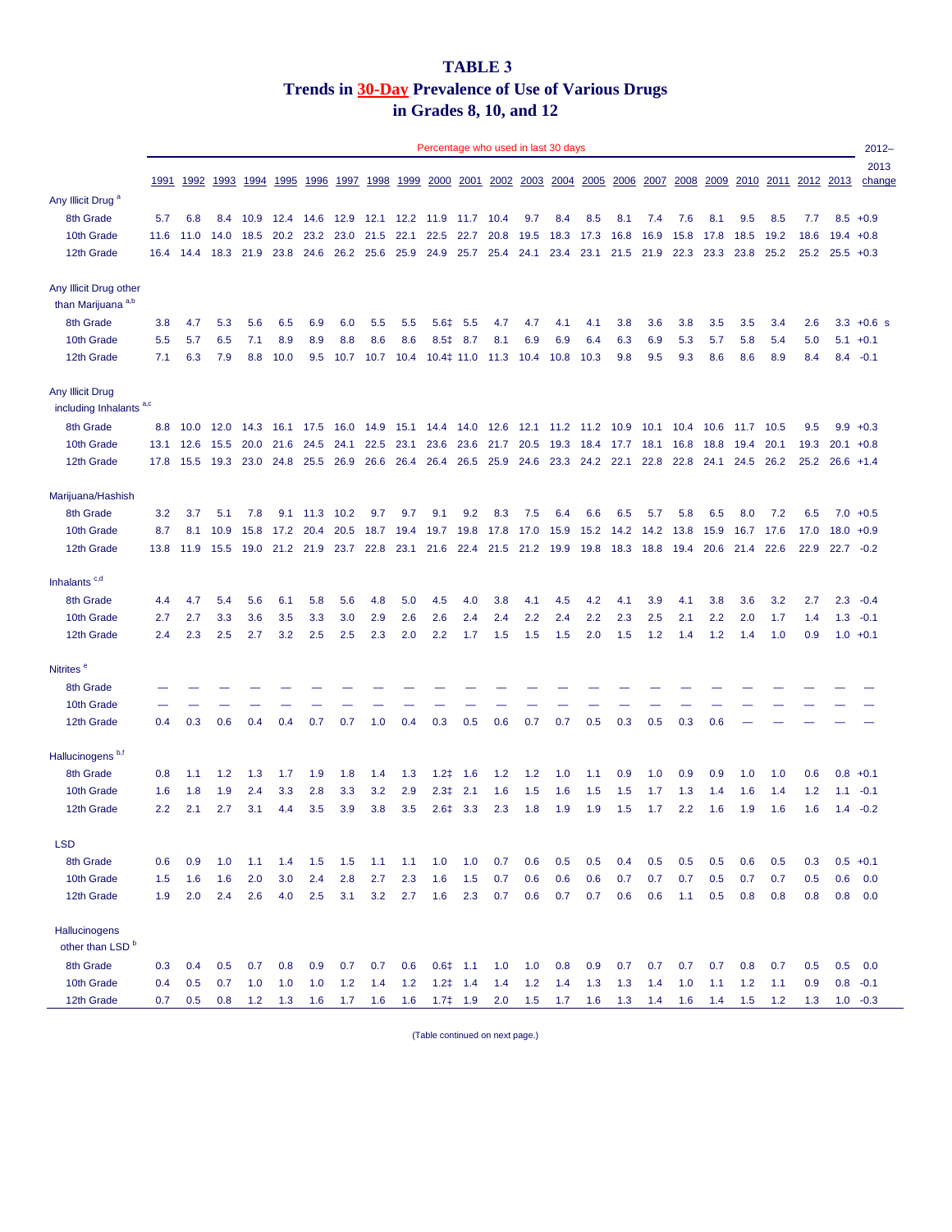## **TABLE 3 Trends in 30-Day Prevalence of Use of Various Drugs in Grades 8, 10, and 12**

|                                                         |      |      |      |      |             |      |      |      |                | Percentage who used in last 30 days |                |           |                     |                |           |              |           |      |      |      |           |      |           | $2012 -$       |
|---------------------------------------------------------|------|------|------|------|-------------|------|------|------|----------------|-------------------------------------|----------------|-----------|---------------------|----------------|-----------|--------------|-----------|------|------|------|-----------|------|-----------|----------------|
|                                                         | 1991 | 1992 | 1993 | 1994 | 1995        | 1996 | 1997 | 1998 | 1999           | 2000                                | 2001           | 2002      |                     | 2003 2004 2005 |           | <u> 2006</u> | 2007      | 2008 | 2009 |      | 2010 2011 |      | 2012 2013 | 2013<br>change |
| Any Illicit Drug <sup>a</sup>                           |      |      |      |      |             |      |      |      |                |                                     |                |           |                     |                |           |              |           |      |      |      |           |      |           |                |
| 8th Grade                                               | 5.7  | 6.8  | 8.4  | 10.9 | 12.4        | 14.6 | 12.9 |      | 12.1 12.2 11.9 |                                     | 11.7           | 10.4      | 9.7                 | 8.4            | 8.5       | 8.1          | 7.4       | 7.6  | 8.1  | 9.5  | 8.5       | 7.7  |           | $8.5 + 0.9$    |
| 10th Grade                                              | 11.6 | 11.0 | 14.0 | 18.5 | 20.2        | 23.2 | 23.0 | 21.5 | 22.1           | 22.5                                | 22.7           | 20.8      | 19.5                | 18.3           | 17.3      | 16.8         | 16.9      | 15.8 | 17.8 | 18.5 | 19.2      | 18.6 |           | $19.4 + 0.8$   |
| 12th Grade                                              | 16.4 | 14.4 | 18.3 | 21.9 | 23.8        | 24.6 | 26.2 | 25.6 | 25.9           | 24.9                                | 25.7           | 25.4      | 24.1                | 23.4           | 23.1      | 21.5         | 21.9      | 22.3 | 23.3 | 23.8 | 25.2      | 25.2 |           | $25.5 + 0.3$   |
| Any Illicit Drug other<br>than Marijuana <sup>a,b</sup> |      |      |      |      |             |      |      |      |                |                                     |                |           |                     |                |           |              |           |      |      |      |           |      |           |                |
| 8th Grade                                               | 3.8  | 4.7  | 5.3  | 5.6  | 6.5         | 6.9  | 6.0  | 5.5  | 5.5            | 5.6 <sup>‡</sup>                    | 5.5            | 4.7       | 4.7                 | 4.1            | 4.1       | 3.8          | 3.6       | 3.8  | 3.5  | 3.5  | 3.4       | 2.6  |           | $3.3 + 0.6$ s  |
| 10th Grade                                              | 5.5  | 5.7  | 6.5  | 7.1  | 8.9         | 8.9  | 8.8  | 8.6  | 8.6            |                                     | 8.5‡ 8.7       | 8.1       | 6.9                 | 6.9            | 6.4       | 6.3          | 6.9       | 5.3  | 5.7  | 5.8  | 5.4       | 5.0  |           | $5.1 + 0.1$    |
| 12th Grade                                              | 7.1  | 6.3  | 7.9  | 8.8  | 10.0        | 9.5  | 10.7 | 10.7 | 10.4           | $10.4\ddagger$ 11.0                 |                | 11.3 10.4 |                     | 10.8           | 10.3      | 9.8          | 9.5       | 9.3  | 8.6  | 8.6  | 8.9       | 8.4  |           | $8.4 -0.1$     |
| Any Illicit Drug<br>including Inhalants <sup>a,c</sup>  |      |      |      |      |             |      |      |      |                |                                     |                |           |                     |                |           |              |           |      |      |      |           |      |           |                |
| 8th Grade                                               | 8.8  | 10.0 | 12.0 | 14.3 | 16.1        | 17.5 | 16.0 | 14.9 | 15.1           | 14.4                                | 14.0           | 12.6      | 12.1 11.2 11.2 10.9 |                |           |              | 10.1      | 10.4 | 10.6 | 11.7 | 10.5      | 9.5  | 9.9       | $+0.3$         |
| 10th Grade                                              | 13.1 | 12.6 | 15.5 | 20.0 | 21.6        | 24.5 | 24.1 | 22.5 | 23.1           | 23.6                                | 23.6           | 21.7      | 20.5                | 19.3           | 18.4      | 17.7         | 18.1      | 16.8 | 18.8 | 19.4 | 20.1      | 19.3 |           | $20.1 + 0.8$   |
| 12th Grade                                              | 17.8 | 15.5 | 19.3 | 23.0 | 24.8        | 25.5 | 26.9 | 26.6 | 26.4           | 26.4                                | 26.5           | 25.9      | 24.6                | 23.3           | 24.2 22.1 |              | 22.8      | 22.8 | 24.1 | 24.5 | 26.2      | 25.2 |           | $26.6 +1.4$    |
| Marijuana/Hashish                                       |      |      |      |      |             |      |      |      |                |                                     |                |           |                     |                |           |              |           |      |      |      |           |      |           |                |
| 8th Grade                                               | 3.2  | 3.7  | 5.1  | 7.8  | 9.1         | 11.3 | 10.2 | 9.7  | 9.7            | 9.1                                 | 9.2            | 8.3       | 7.5                 | 6.4            | 6.6       | 6.5          | 5.7       | 5.8  | 6.5  | 8.0  | 7.2       | 6.5  | 7.0       | $+0.5$         |
| 10th Grade                                              | 8.7  | 8.1  | 10.9 | 15.8 | 17.2        | 20.4 | 20.5 | 18.7 | 19.4           | 19.7                                | 19.8           | 17.8      | 17.0                | 15.9           | 15.2      | 14.2         | 14.2      | 13.8 | 15.9 | 16.7 | 17.6      | 17.0 |           | $18.0 + 0.9$   |
| 12th Grade                                              | 13.8 | 11.9 | 15.5 | 19.0 | 21.2        | 21.9 | 23.7 | 22.8 | 23.1           | 21.6                                | 22.4           | 21.5      | 21.2                | 19.9           | 19.8      | 18.3         | 18.8      | 19.4 | 20.6 | 21.4 | 22.6      | 22.9 |           | $22.7 -0.2$    |
| Inhalants <sup>c,d</sup>                                |      |      |      |      |             |      |      |      |                |                                     |                |           |                     |                |           |              |           |      |      |      |           |      |           |                |
| 8th Grade                                               | 4.4  | 4.7  | 5.4  | 5.6  | 6.1         | 5.8  | 5.6  | 4.8  | 5.0            | 4.5                                 | 4.0            | 3.8       | 4.1                 | 4.5            | 4.2       | 4.1          | 3.9       | 4.1  | 3.8  | 3.6  | 3.2       | 2.7  | 2.3       | $-0.4$         |
| 10th Grade                                              | 2.7  | 2.7  | 3.3  | 3.6  | 3.5         | 3.3  | 3.0  | 2.9  | 2.6            | 2.6                                 | 2.4            | 2.4       | 2.2                 | 2.4            | 2.2       | 2.3          | 2.5       | 2.1  | 2.2  | 2.0  | 1.7       | 1.4  |           | $1.3 - 0.1$    |
| 12th Grade                                              | 2.4  | 2.3  | 2.5  | 2.7  | 3.2         | 2.5  | 2.5  | 2.3  | 2.0            | 2.2                                 | 1.7            | 1.5       | 1.5                 | 1.5            | 2.0       | 1.5          | 1.2       | 1.4  | 1.2  | 1.4  | 1.0       | 0.9  |           | $1.0 + 0.1$    |
| Nitrites <sup>e</sup>                                   |      |      |      |      |             |      |      |      |                |                                     |                |           |                     |                |           |              |           |      |      |      |           |      |           |                |
| 8th Grade                                               |      |      |      |      |             |      |      |      |                |                                     |                |           |                     |                |           |              |           |      |      |      |           |      |           |                |
| 10th Grade                                              |      |      |      |      |             |      |      |      |                |                                     |                |           |                     |                |           |              |           |      |      |      |           |      |           |                |
| 12th Grade                                              | 0.4  | 0.3  | 0.6  | 0.4  | 0.4         | 0.7  | 0.7  | 1.0  | 0.4            | 0.3                                 | 0.5            | 0.6       | 0.7                 | 0.7            | 0.5       | 0.3          | 0.5       | 0.3  | 0.6  |      |           |      |           |                |
| Hallucinogens <sup>b,f</sup>                            |      |      |      |      |             |      |      |      |                |                                     |                |           |                     |                |           |              |           |      |      |      |           |      |           |                |
| 8th Grade                                               | 0.8  | 1.1  | 1.2  | 1.3  | 1.7         | 1.9  | 1.8  | 1.4  | 1.3            |                                     | $1.2 \neq 1.6$ | 1.2       | 1.2                 | 1.0            | $-1.1$    | 0.9          | 1.0       | 0.9  | 0.9  | 1.0  | 1.0       | 0.6  |           | $0.8 + 0.1$    |
| 10th Grade                                              | 1.6  | 1.8  | 1.9  | 2.4  | 3.3         | 2.8  | 3.3  | 3.2  | 2.9            |                                     | $2.3 \neq 2.1$ | 1.6       | 1.5                 | 1.6            | 1.5       | 1.5          | 1.7       | 1.3  | 1.4  | 1.6  | 1.4       | 1.2  |           | $1.1 - 0.1$    |
| 12th Grade                                              | 2.2  | 2.1  | 2.7  | 3.1  | 4.4         | 3.5  | 3.9  | 3.8  | 3.5            |                                     | $2.6 \div 3.3$ | 2.3       | 1.8                 | 1.9            | 1.9       | 1.5          | 1.7       | 2.2  | 1.6  | 1.9  | 1.6       | 1.6  |           | $1.4 -0.2$     |
| <b>LSD</b>                                              |      |      |      |      |             |      |      |      |                |                                     |                |           |                     |                |           |              |           |      |      |      |           |      |           |                |
| 8th Grade                                               | 0.6  | 0.9  | 1.0  | 1.1  | 1.4         | 1.5  | 1.5  | 1.1  | 1.1            | 1.0                                 | 1.0            | 0.7       | 0.6                 | 0.5            | 0.5       | 0.4          | 0.5       | 0.5  | 0.5  | 0.6  | 0.5       | 0.3  |           | $0.5 +0.1$     |
| 10th Grade                                              | 1.5  | 1.6  | 1.6  | 2.0  | 3.0         | 2.4  | 2.8  | 2.7  | 2.3            | 1.6                                 | 1.5            | 0.7       | 0.6                 | 0.6            | 0.6       | 0.7          | 0.7       | 0.7  | 0.5  | 0.7  | 0.7       | 0.5  | 0.6       | 0.0            |
| 12th Grade                                              | 1.9  | 2.0  | 2.4  | 2.6  | 4.0         | 2.5  | 3.1  | 3.2  | 2.7            | 1.6                                 | 2.3            | 0.7       | 0.6                 | 0.7            | 0.7       | 0.6          | 0.6       | 1.1  | 0.5  | 0.8  | 0.8       | 0.8  |           | $0.8\quad 0.0$ |
| Hallucinogens<br>other than LSD <sup>b</sup>            |      |      |      |      |             |      |      |      |                |                                     |                |           |                     |                |           |              |           |      |      |      |           |      |           |                |
| 8th Grade                                               | 0.3  | 0.4  | 0.5  | 0.7  | 0.8         | 0.9  | 0.7  | 0.7  | 0.6            |                                     | $0.6$ ‡ 1.1    | 1.0       | 1.0                 | 0.8            | 0.9       | 0.7          | 0.7       | 0.7  | 0.7  | 0.8  | 0.7       | 0.5  | 0.5       | 0.0            |
| 10th Grade                                              | 0.4  | 0.5  | 0.7  | 1.0  | 1.0         | 1.0  | 1.2  | 1.4  | 1.2            | $1.2 \neq 1.4$                      |                | 1.4       | 1.2                 | 1.4            | 1.3       | 1.3          | 1.4       | 1.0  | 1.1  | 1.2  | 1.1       | 0.9  |           | $0.8 - 0.1$    |
| 12th Grade                                              | 0.7  | 0.5  | 0.8  |      | $1.2$ $1.3$ |      |      |      |                | 1.6 1.7 1.6 1.6 1.7‡ 1.9 2.0 1.5    |                |           |                     | $1.7$ 1.6      |           | 1.3          | $1.4$ 1.6 |      | 1.4  | 1.5  | 1.2       | 1.3  |           | $1.0 -0.3$     |

(Table continued on next page.)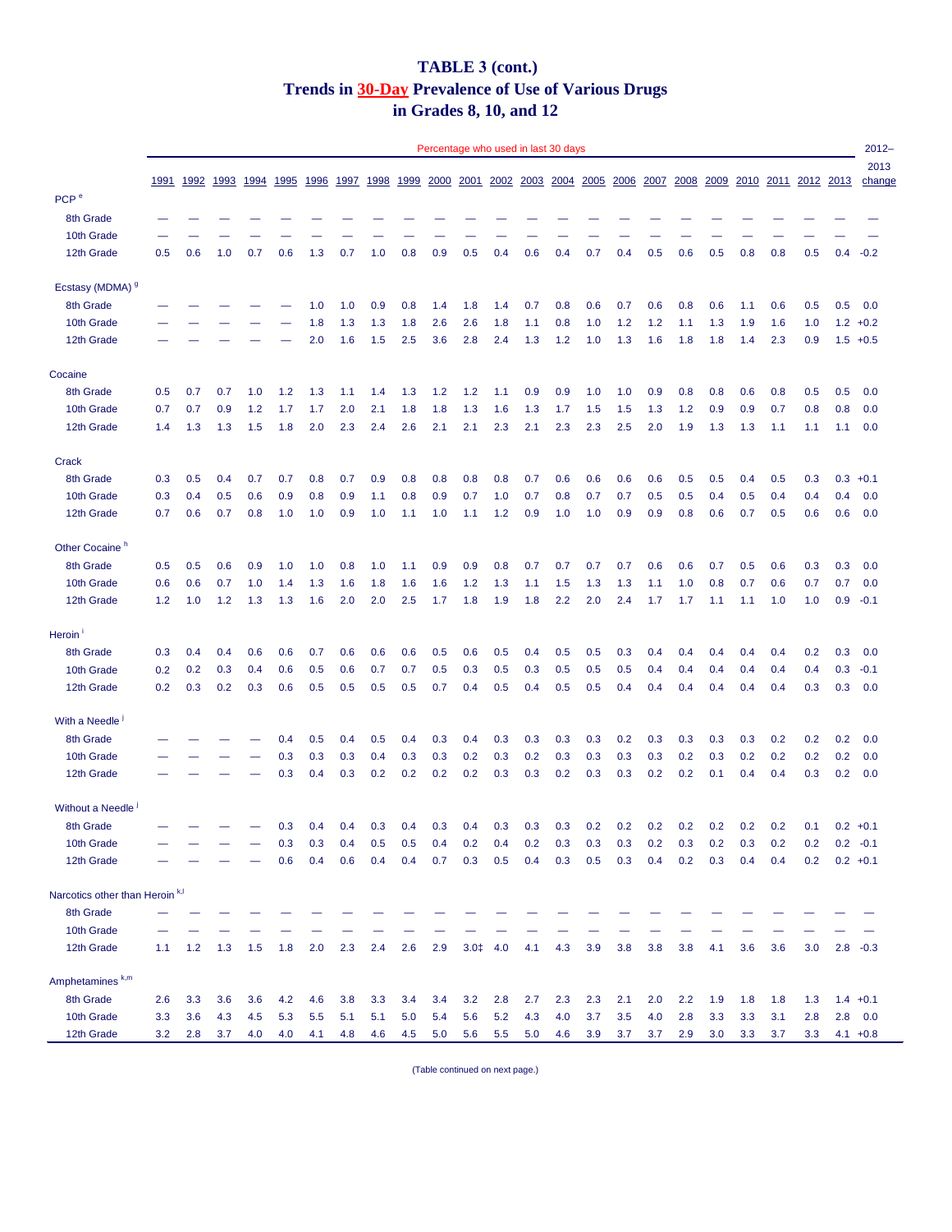## **TABLE 3 (cont.) Trends in 30-Day Prevalence of Use of Various Drugs in Grades 8, 10, and 12**

|                                            |      |      |              |      |             |             |      |      |      |      |           |      | Percentage who used in last 30 days |      |      |               |      |      |      |           |      |      |      | $2012 -$       |
|--------------------------------------------|------|------|--------------|------|-------------|-------------|------|------|------|------|-----------|------|-------------------------------------|------|------|---------------|------|------|------|-----------|------|------|------|----------------|
|                                            | 1991 | 1992 | <u> 1993</u> | 1994 | <u>1995</u> | <u>1996</u> | 1997 | 1998 | 1999 | 2000 | 2001      | 2002 | 2003                                | 2004 | 2005 | 2006          | 2007 | 2008 | 2009 | 2010      | 2011 | 2012 | 2013 | 2013<br>change |
| PCP <sup>e</sup>                           |      |      |              |      |             |             |      |      |      |      |           |      |                                     |      |      |               |      |      |      |           |      |      |      |                |
| 8th Grade                                  |      |      |              |      |             |             |      |      |      |      |           |      |                                     |      |      |               |      |      |      |           |      |      |      |                |
| 10th Grade                                 |      |      |              |      |             |             |      |      |      |      |           |      |                                     |      |      |               |      |      |      |           |      |      |      |                |
| 12th Grade                                 | 0.5  | 0.6  | 1.0          | 0.7  | 0.6         | 1.3         | 0.7  | 1.0  | 0.8  | 0.9  | 0.5       | 0.4  | 0.6                                 | 0.4  | 0.7  | 0.4           | 0.5  | 0.6  | 0.5  | 0.8       | 0.8  | 0.5  | 0.4  | $-0.2$         |
| Ecstasy (MDMA) 9                           |      |      |              |      |             |             |      |      |      |      |           |      |                                     |      |      |               |      |      |      |           |      |      |      |                |
| 8th Grade                                  |      |      |              |      |             | 1.0         | 1.0  | 0.9  | 0.8  | 1.4  | 1.8       | 1.4  | 0.7                                 | 0.8  | 0.6  | 0.7           | 0.6  | 0.8  | 0.6  | 1.1       | 0.6  | 0.5  | 0.5  | 0.0            |
| 10th Grade                                 |      |      |              |      |             | 1.8         | 1.3  | 1.3  | 1.8  | 2.6  | 2.6       | 1.8  | 1.1                                 | 0.8  | 1.0  | 1.2           | 1.2  | 1.1  | 1.3  | 1.9       | 1.6  | 1.0  |      | $1.2 +0.2$     |
| 12th Grade                                 |      |      |              |      |             | 2.0         | 1.6  | 1.5  | 2.5  | 3.6  | 2.8       | 2.4  | 1.3                                 | 1.2  | 1.0  | 1.3           | 1.6  | 1.8  | 1.8  | 1.4       | 2.3  | 0.9  |      | $1.5 + 0.5$    |
| Cocaine                                    |      |      |              |      |             |             |      |      |      |      |           |      |                                     |      |      |               |      |      |      |           |      |      |      |                |
| 8th Grade                                  | 0.5  | 0.7  | 0.7          | 1.0  | 1.2         | 1.3         | 1.1  | 1.4  | 1.3  | 1.2  | 1.2       | 1.1  | 0.9                                 | 0.9  | 1.0  | 1.0           | 0.9  | 0.8  | 0.8  | 0.6       | 0.8  | 0.5  | 0.5  | 0.0            |
| 10th Grade                                 | 0.7  | 0.7  | 0.9          | 1.2  | 1.7         | 1.7         | 2.0  | 2.1  | 1.8  | 1.8  | 1.3       | 1.6  | 1.3                                 | 1.7  | 1.5  | 1.5           | 1.3  | 1.2  | 0.9  | 0.9       | 0.7  | 0.8  | 0.8  | 0.0            |
| 12th Grade                                 | 1.4  | 1.3  | 1.3          | 1.5  | 1.8         | 2.0         | 2.3  | 2.4  | 2.6  | 2.1  | 2.1       | 2.3  | 2.1                                 | 2.3  | 2.3  | 2.5           | 2.0  | 1.9  | 1.3  | 1.3       | 1.1  | 1.1  | 1.1  | 0.0            |
| Crack                                      |      |      |              |      |             |             |      |      |      |      |           |      |                                     |      |      |               |      |      |      |           |      |      |      |                |
| 8th Grade                                  | 0.3  | 0.5  | 0.4          | 0.7  | 0.7         | 0.8         | 0.7  | 0.9  | 0.8  | 0.8  | 0.8       | 0.8  | 0.7                                 | 0.6  | 0.6  | 0.6           | 0.6  | 0.5  | 0.5  | 0.4       | 0.5  | 0.3  |      | $0.3 +0.1$     |
| 10th Grade                                 | 0.3  | 0.4  | 0.5          | 0.6  | 0.9         | 0.8         | 0.9  | 1.1  | 0.8  | 0.9  | 0.7       | 1.0  | 0.7                                 | 0.8  | 0.7  | 0.7           | 0.5  | 0.5  | 0.4  | 0.5       | 0.4  | 0.4  | 0.4  | 0.0            |
| 12th Grade                                 | 0.7  | 0.6  | 0.7          | 0.8  | 1.0         | 1.0         | 0.9  | 1.0  | 1.1  | 1.0  | 1.1       | 1.2  | 0.9                                 | 1.0  | 1.0  | 0.9           | 0.9  | 0.8  | 0.6  | 0.7       | 0.5  | 0.6  | 0.6  | 0.0            |
| Other Cocaine <sup>h</sup>                 |      |      |              |      |             |             |      |      |      |      |           |      |                                     |      |      |               |      |      |      |           |      |      |      |                |
| 8th Grade                                  | 0.5  | 0.5  | 0.6          | 0.9  | 1.0         | 1.0         | 0.8  | 1.0  | 1.1  | 0.9  | 0.9       | 0.8  | 0.7                                 | 0.7  | 0.7  | 0.7           | 0.6  | 0.6  | 0.7  | 0.5       | 0.6  | 0.3  | 0.3  | 0.0            |
| 10th Grade                                 | 0.6  | 0.6  | 0.7          | 1.0  | 1.4         | 1.3         | 1.6  | 1.8  | 1.6  | 1.6  | 1.2       | 1.3  | 1.1                                 | 1.5  | 1.3  | 1.3           | 1.1  | 1.0  | 0.8  | 0.7       | 0.6  | 0.7  | 0.7  | 0.0            |
| 12th Grade                                 | 1.2  | 1.0  | 1.2          | 1.3  | 1.3         | 1.6         | 2.0  | 2.0  | 2.5  | 1.7  | 1.8       | 1.9  | 1.8                                 | 2.2  | 2.0  | 2.4           | 1.7  | 1.7  | 1.1  | 1.1       | 1.0  | 1.0  | 0.9  | $-0.1$         |
| Heroin                                     |      |      |              |      |             |             |      |      |      |      |           |      |                                     |      |      |               |      |      |      |           |      |      |      |                |
| 8th Grade                                  | 0.3  | 0.4  | 0.4          | 0.6  | 0.6         | 0.7         | 0.6  | 0.6  | 0.6  | 0.5  | 0.6       | 0.5  | 0.4                                 | 0.5  | 0.5  | 0.3           | 0.4  | 0.4  | 0.4  | 0.4       | 0.4  | 0.2  | 0.3  | 0.0            |
| 10th Grade                                 | 0.2  | 0.2  | 0.3          | 0.4  | 0.6         | 0.5         | 0.6  | 0.7  | 0.7  |      | $0.5$ 0.3 |      | $0.5$ 0.3                           | 0.5  |      | $0.5$ 0.5 0.4 |      | 0.4  |      | $0.4$ 0.4 | 0.4  | 0.4  |      | $0.3 - 0.1$    |
| 12th Grade                                 | 0.2  | 0.3  | 0.2          | 0.3  | 0.6         | 0.5         | 0.5  | 0.5  | 0.5  | 0.7  | 0.4       | 0.5  | 0.4                                 | 0.5  | 0.5  | 0.4           | 0.4  | 0.4  | 0.4  | 0.4       | 0.4  | 0.3  | 0.3  | 0.0            |
| With a Needle <sup>1</sup>                 |      |      |              |      |             |             |      |      |      |      |           |      |                                     |      |      |               |      |      |      |           |      |      |      |                |
| 8th Grade                                  |      |      |              |      | 0.4         | 0.5         | 0.4  | 0.5  | 0.4  | 0.3  | 0.4       | 0.3  | 0.3                                 | 0.3  | 0.3  | 0.2           | 0.3  | 0.3  | 0.3  | 0.3       | 0.2  | 0.2  | 0.2  | 0.0            |
| 10th Grade                                 |      |      |              |      | 0.3         | 0.3         | 0.3  | 0.4  | 0.3  | 0.3  | 0.2       | 0.3  | 0.2                                 | 0.3  | 0.3  | 0.3           | 0.3  | 0.2  | 0.3  | 0.2       | 0.2  | 0.2  | 0.2  | 0.0            |
| 12th Grade                                 |      |      |              |      | 0.3         | 0.4         | 0.3  | 0.2  | 0.2  | 0.2  | 0.2       | 0.3  | 0.3                                 | 0.2  | 0.3  | 0.3           | 0.2  | 0.2  | 0.1  | 0.4       | 0.4  | 0.3  |      | $0.2\ 0.0$     |
| Without a Needle                           |      |      |              |      |             |             |      |      |      |      |           |      |                                     |      |      |               |      |      |      |           |      |      |      |                |
| 8th Grade                                  |      |      |              |      | 0.3         | 0.4         | 0.4  | 0.3  | 0.4  | 0.3  | 0.4       | 0.3  | 0.3                                 | 0.3  | 0.2  | 0.2           | 0.2  | 0.2  | 0.2  | 0.2       | 0.2  | 0.1  |      | $0.2 +0.1$     |
| 10th Grade                                 |      |      |              |      | 0.3         | 0.3         | 0.4  | 0.5  | 0.5  | 0.4  | 0.2       | 0.4  | 0.2                                 | 0.3  | 0.3  | 0.3           | 0.2  | 0.3  | 0.2  | 0.3       | 0.2  | 0.2  |      | $0.2 -0.1$     |
| 12th Grade                                 |      |      |              |      | 0.6         | 0.4         | 0.6  | 0.4  | 0.4  | 0.7  | 0.3       | 0.5  | 0.4                                 | 0.3  | 0.5  | 0.3           | 0.4  | 0.2  | 0.3  | 0.4       | 0.4  | 0.2  |      | $0.2 +0.1$     |
| Narcotics other than Heroin <sup>k,l</sup> |      |      |              |      |             |             |      |      |      |      |           |      |                                     |      |      |               |      |      |      |           |      |      |      |                |
| 8th Grade                                  |      |      |              |      |             |             |      |      |      |      |           |      |                                     |      |      |               |      |      |      |           |      |      |      |                |
| 10th Grade                                 |      |      |              |      |             |             |      |      |      |      |           |      |                                     |      |      |               |      |      |      |           |      |      |      |                |
| 12th Grade                                 | 1.1  | 1.2  | 1.3          | 1.5  | 1.8         | 2.0         | 2.3  | 2.4  | 2.6  | 2.9  | $3.0+$    | 4.0  | 4.1                                 | 4.3  | 3.9  | 3.8           | 3.8  | 3.8  | 4.1  | 3.6       | 3.6  | 3.0  |      | $2.8 - 0.3$    |
| Amphetamines <sup>k,m</sup>                |      |      |              |      |             |             |      |      |      |      |           |      |                                     |      |      |               |      |      |      |           |      |      |      |                |
| 8th Grade                                  | 2.6  | 3.3  | 3.6          | 3.6  | 4.2         | 4.6         | 3.8  | 3.3  | 3.4  | 3.4  | 3.2       | 2.8  | 2.7                                 | 2.3  | 2.3  | 2.1           | 2.0  | 2.2  | 1.9  | 1.8       | 1.8  | 1.3  |      | $1.4 +0.1$     |
| 10th Grade                                 | 3.3  | 3.6  | 4.3          | 4.5  | 5.3         | 5.5         | 5.1  | 5.1  | 5.0  | 5.4  | 5.6       | 5.2  | 4.3                                 | 4.0  | 3.7  | 3.5           | 4.0  | 2.8  | 3.3  | 3.3       | 3.1  | 2.8  |      | $2.8\quad 0.0$ |
| 12th Grade                                 | 3.2  | 2.8  | 3.7          | 4.0  | 4.0         | 4.1         | 4.8  | 4.6  | 4.5  | 5.0  | 5.6       | 5.5  | 5.0                                 | 4.6  | 3.9  | 3.7           | 3.7  | 2.9  | 3.0  | 3.3       | 3.7  | 3.3  |      | $4.1 + 0.8$    |

(Table continued on next page.)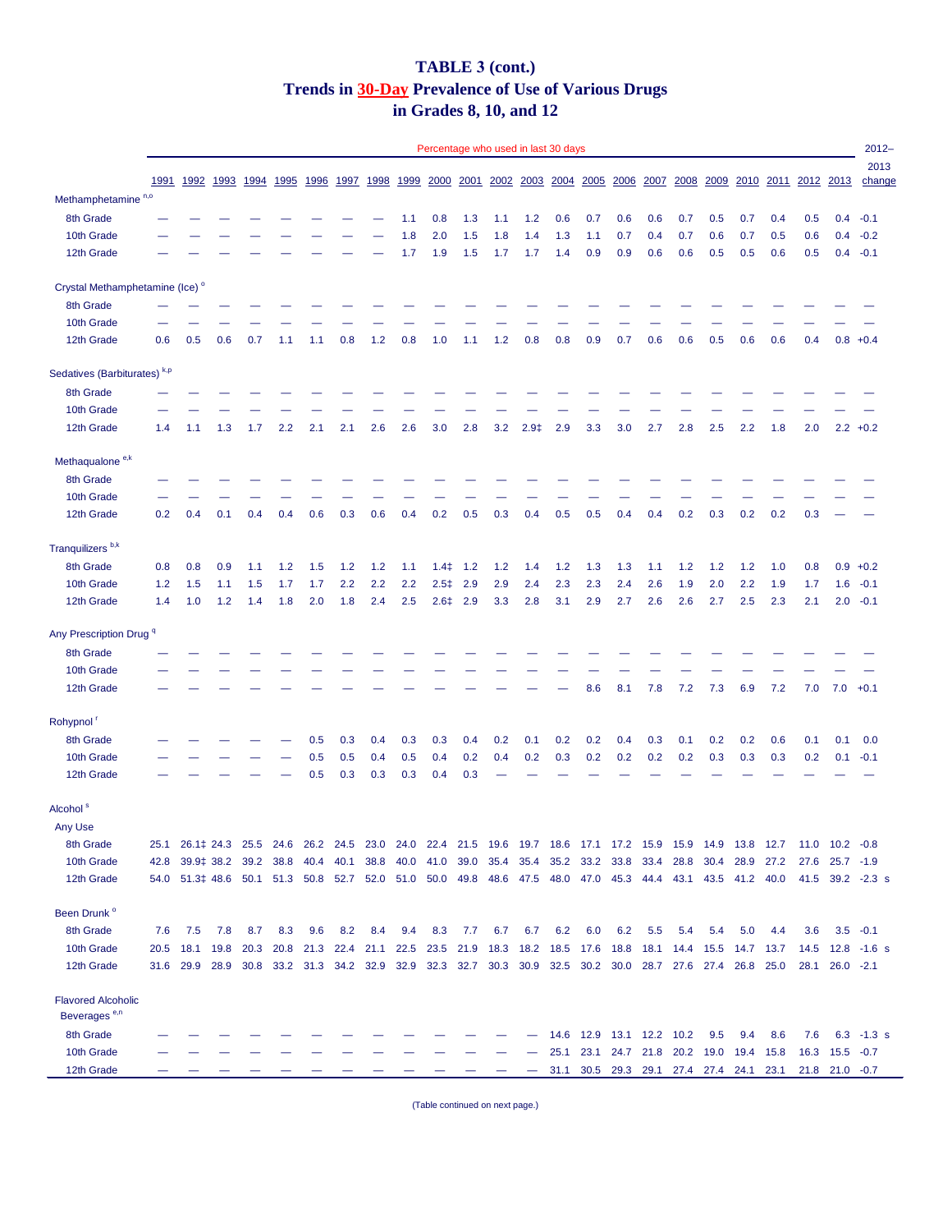## **TABLE 3 (cont.) Trends in 30-Day Prevalence of Use of Various Drugs in Grades 8, 10, and 12**

|                                            |      |                                                                                                          |           |      |           |      |      |           |      | Percentage who used in last 30 days |                    |                |           |      |                                         |                |      |                                    |           |      |      |                     |                      | $2012 -$         |
|--------------------------------------------|------|----------------------------------------------------------------------------------------------------------|-----------|------|-----------|------|------|-----------|------|-------------------------------------|--------------------|----------------|-----------|------|-----------------------------------------|----------------|------|------------------------------------|-----------|------|------|---------------------|----------------------|------------------|
|                                            | 1991 |                                                                                                          | 1992 1993 | 1994 | 1995      | 1996 | 1997 | 1998      | 1999 | 2000                                |                    | 2001 2002 2003 |           |      | 2004 2005                               | <u>2006</u>    | 2007 | 2008                               | 2009      |      |      | 2010 2011 2012 2013 |                      | 2013<br>change   |
| Methamphetamine <sup>n,o</sup>             |      |                                                                                                          |           |      |           |      |      |           |      |                                     |                    |                |           |      |                                         |                |      |                                    |           |      |      |                     |                      |                  |
| 8th Grade                                  |      |                                                                                                          |           |      |           |      |      |           | 1.1  | 0.8                                 | 1.3                | 1.1            | 1.2       | 0.6  | 0.7                                     | 0.6            | 0.6  | 0.7                                | 0.5       | 0.7  | 0.4  | 0.5                 | 0.4                  | $-0.1$           |
| 10th Grade                                 |      |                                                                                                          |           |      |           |      |      |           | 1.8  | 2.0                                 | 1.5                | 1.8            | 1.4       | 1.3  | 1.1                                     | 0.7            | 0.4  | 0.7                                | 0.6       | 0.7  | 0.5  | 0.6                 | 0.4                  | $-0.2$           |
| 12th Grade                                 |      |                                                                                                          |           |      |           |      |      |           | 1.7  | 1.9                                 | 1.5                | 1.7            | 1.7       | 1.4  | 0.9                                     | 0.9            | 0.6  | 0.6                                | 0.5       | 0.5  | 0.6  | 0.5                 | 0.4                  | $-0.1$           |
| Crystal Methamphetamine (Ice) <sup>o</sup> |      |                                                                                                          |           |      |           |      |      |           |      |                                     |                    |                |           |      |                                         |                |      |                                    |           |      |      |                     |                      |                  |
| 8th Grade                                  |      |                                                                                                          |           |      |           |      |      |           |      |                                     |                    |                |           |      |                                         |                |      |                                    |           |      |      |                     |                      |                  |
| 10th Grade                                 |      |                                                                                                          |           |      |           |      |      |           |      |                                     |                    |                |           |      |                                         |                |      |                                    |           |      |      |                     |                      |                  |
| 12th Grade                                 | 0.6  | 0.5                                                                                                      | 0.6       | 0.7  | 1.1       | 1.1  | 0.8  | 1.2       | 0.8  | 1.0                                 | 1.1                | $1.2$          | 0.8       | 0.8  | 0.9                                     | 0.7            | 0.6  | 0.6                                | 0.5       | 0.6  | 0.6  | 0.4                 | $0.8 + 0.4$          |                  |
| Sedatives (Barbiturates) <sup>k,p</sup>    |      |                                                                                                          |           |      |           |      |      |           |      |                                     |                    |                |           |      |                                         |                |      |                                    |           |      |      |                     |                      |                  |
| 8th Grade                                  |      |                                                                                                          |           |      |           |      |      |           |      |                                     |                    |                |           |      |                                         |                |      |                                    |           |      |      |                     |                      |                  |
| 10th Grade                                 |      |                                                                                                          |           |      |           |      |      |           |      |                                     |                    |                |           |      |                                         |                |      |                                    |           |      |      |                     |                      |                  |
| 12th Grade                                 | 1.4  | 1.1                                                                                                      | 1.3       | 1.7  | 2.2       | 2.1  | 2.1  | 2.6       | 2.6  | 3.0                                 | 2.8                | 3.2            | $2.9+$    | 2.9  | 3.3                                     | 3.0            | 2.7  | 2.8                                | 2.5       | 2.2  | 1.8  | 2.0                 |                      | $2.2 +0.2$       |
| Methaqualone <sup>e,k</sup>                |      |                                                                                                          |           |      |           |      |      |           |      |                                     |                    |                |           |      |                                         |                |      |                                    |           |      |      |                     |                      |                  |
| 8th Grade                                  |      |                                                                                                          |           |      |           |      |      |           |      |                                     |                    |                |           |      |                                         |                |      |                                    |           |      |      |                     |                      |                  |
| 10th Grade                                 |      |                                                                                                          |           |      |           |      |      |           |      |                                     |                    |                |           |      |                                         |                |      |                                    |           |      |      |                     |                      |                  |
| 12th Grade                                 | 0.2  | 0.4                                                                                                      | 0.1       | 0.4  | 0.4       | 0.6  | 0.3  | 0.6       | 0.4  | 0.2                                 | 0.5                | 0.3            | 0.4       | 0.5  | 0.5                                     | 0.4            | 0.4  | 0.2                                | 0.3       | 0.2  | 0.2  | 0.3                 |                      |                  |
| Tranquilizers <sup>b,k</sup>               |      |                                                                                                          |           |      |           |      |      |           |      |                                     |                    |                |           |      |                                         |                |      |                                    |           |      |      |                     |                      |                  |
| 8th Grade                                  | 0.8  | 0.8                                                                                                      | 0.9       | 1.1  | 1.2       | 1.5  | 1.2  | 1.2       | 1.1  | 1.4 <sup>‡</sup>                    | 1.2                | 1.2            | 1.4       | 1.2  | 1.3                                     | 1.3            | 1.1  | 1.2                                | 1.2       | 1.2  | 1.0  | 0.8                 | 0.9                  | $+0.2$           |
| 10th Grade                                 | 1.2  | 1.5                                                                                                      | 1.1       | 1.5  | 1.7       | 1.7  | 2.2  | 2.2       | 2.2  |                                     | $2.5\ddagger$ 2.9  | 2.9            | 2.4       | 2.3  | 2.3                                     | 2.4            | 2.6  | 1.9                                | 2.0       | 2.2  | 1.9  | 1.7                 | 1.6                  | $-0.1$           |
| 12th Grade                                 | 1.4  | 1.0                                                                                                      | 1.2       | 1.4  | 1.8       | 2.0  | 1.8  | 2.4       | 2.5  |                                     | $2.6 \ddagger 2.9$ | 3.3            | 2.8       | 3.1  | 2.9                                     | 2.7            | 2.6  | 2.6                                | 2.7       | 2.5  | 2.3  | 2.1                 | 2.0                  | $-0.1$           |
| Any Prescription Drug <sup>q</sup>         |      |                                                                                                          |           |      |           |      |      |           |      |                                     |                    |                |           |      |                                         |                |      |                                    |           |      |      |                     |                      |                  |
| 8th Grade                                  |      |                                                                                                          |           |      |           |      |      |           |      |                                     |                    |                |           |      |                                         |                |      |                                    |           |      |      |                     |                      |                  |
| 10th Grade                                 |      |                                                                                                          |           |      |           |      |      |           |      |                                     |                    |                |           |      |                                         |                |      |                                    |           |      |      |                     |                      |                  |
| 12th Grade                                 |      |                                                                                                          |           |      |           |      |      |           |      |                                     |                    |                |           |      | 8.6                                     | 8.1            | 7.8  | 7.2                                | 7.3       | 6.9  | 7.2  |                     | $7.0$ $7.0$ $+0.1$   |                  |
| Rohypnol <sup>r</sup>                      |      |                                                                                                          |           |      |           |      |      |           |      |                                     |                    |                |           |      |                                         |                |      |                                    |           |      |      |                     |                      |                  |
| 8th Grade                                  |      |                                                                                                          |           |      |           | 0.5  | 0.3  | 0.4       | 0.3  | 0.3                                 | 0.4                | 0.2            | 0.1       | 0.2  | 0.2                                     | 0.4            | 0.3  | 0.1                                | 0.2       | 0.2  | 0.6  | 0.1                 | 0.1                  | 0.0              |
| 10th Grade                                 |      |                                                                                                          |           |      |           | 0.5  | 0.5  | 0.4       | 0.5  | 0.4                                 | 0.2                | 0.4            | 0.2       | 0.3  | 0.2                                     | 0.2            | 0.2  | 0.2                                | 0.3       | 0.3  | 0.3  | 0.2                 | 0.1                  | $-0.1$           |
| 12th Grade                                 |      |                                                                                                          |           |      |           | 0.5  | 0.3  | 0.3       | 0.3  | 0.4                                 | 0.3                |                |           |      |                                         |                |      |                                    |           |      |      |                     |                      |                  |
| Alcohol <sup>s</sup>                       |      |                                                                                                          |           |      |           |      |      |           |      |                                     |                    |                |           |      |                                         |                |      |                                    |           |      |      |                     |                      |                  |
| Any Use                                    |      |                                                                                                          |           |      |           |      |      |           |      |                                     |                    |                |           |      |                                         |                |      |                                    |           |      |      |                     |                      |                  |
| 8th Grade                                  | 25.1 | 26.1   24.3 25.5 24.6 26.2 24.5 23.0 24.0 22.4 21.5 19.6 19.7 18.6 17.1 17.2 15.9 15.9 14.9 13.8 12.7    |           |      |           |      |      |           |      |                                     |                    |                |           |      |                                         |                |      |                                    |           |      |      |                     | $11.0$ $10.2$ $-0.8$ |                  |
| 10th Grade                                 | 42.8 | 39.9‡ 38.2 39.2 38.8                                                                                     |           |      |           | 40.4 | 40.1 | 38.8 40.0 |      |                                     |                    |                |           |      | 41.0 39.0 35.4 35.4 35.2 33.2 33.8 33.4 |                |      | 28.8                               | 30.4 28.9 |      | 27.2 |                     | 27.6 25.7 -1.9       |                  |
| 12th Grade                                 |      | 54.0 51.3 48.6 50.1 51.3 50.8 52.7 52.0 51.0 50.0 49.8 48.6 47.5 48.0 47.0 45.3 44.4 43.1 43.5 41.2 40.0 |           |      |           |      |      |           |      |                                     |                    |                |           |      |                                         |                |      |                                    |           |      |      |                     |                      | 41.5 39.2 -2.3 s |
| Been Drunk <sup>o</sup>                    |      |                                                                                                          |           |      |           |      |      |           |      |                                     |                    |                |           |      |                                         |                |      |                                    |           |      |      |                     |                      |                  |
| 8th Grade                                  | 7.6  | 7.5                                                                                                      | 7.8       | 8.7  | 8.3       | 9.6  | 8.2  | 8.4       | 9.4  | 8.3                                 | 7.7                | 6.7            | 6.7       | 6.2  | 6.0                                     | 6.2            | 5.5  | 5.4                                | 5.4       | 5.0  | 4.4  | 3.6                 | $3.5 -0.1$           |                  |
| 10th Grade                                 | 20.5 | 18.1                                                                                                     | 19.8      | 20.3 | 20.8 21.3 |      |      | 22.4 21.1 | 22.5 | 23.5 21.9                           |                    | 18.3           | 18.2 18.5 |      | 17.6 18.8                               |                | 18.1 | 14.4 15.5                          |           | 14.7 | 13.7 | 14.5                |                      | $12.8 - 1.6$ s   |
| 12th Grade                                 |      | 31.6 29.9 28.9 30.8 33.2 31.3 34.2 32.9 32.9 32.3 32.7 30.3 30.9 32.5 30.2 30.0 28.7 27.6 27.4 26.8 25.0 |           |      |           |      |      |           |      |                                     |                    |                |           |      |                                         |                |      |                                    |           |      |      | 28.1                | $26.0 -2.1$          |                  |
| <b>Flavored Alcoholic</b>                  |      |                                                                                                          |           |      |           |      |      |           |      |                                     |                    |                |           |      |                                         |                |      |                                    |           |      |      |                     |                      |                  |
| Beverages <sup>e,n</sup>                   |      |                                                                                                          |           |      |           |      |      |           |      |                                     |                    |                |           |      |                                         |                |      |                                    |           |      |      |                     |                      |                  |
| 8th Grade                                  |      |                                                                                                          |           |      |           |      |      |           |      |                                     |                    |                |           | 14.6 | 12.9                                    | 13.1 12.2 10.2 |      |                                    | 9.5       | 9.4  | 8.6  | 7.6                 |                      | $6.3 - 1.3 s$    |
| 10th Grade                                 |      |                                                                                                          |           |      |           |      |      |           |      |                                     |                    |                |           | 25.1 | 23.1                                    |                |      | 24.7 21.8 20.2 19.0 19.4           |           |      | 15.8 | 16.3                | $15.5 -0.7$          |                  |
| 12th Grade                                 |      |                                                                                                          |           |      |           |      |      |           |      |                                     |                    |                |           | 31.1 |                                         |                |      | 30.5 29.3 29.1 27.4 27.4 24.1 23.1 |           |      |      |                     | $21.8$ $21.0$ $-0.7$ |                  |

(Table continued on next page.)